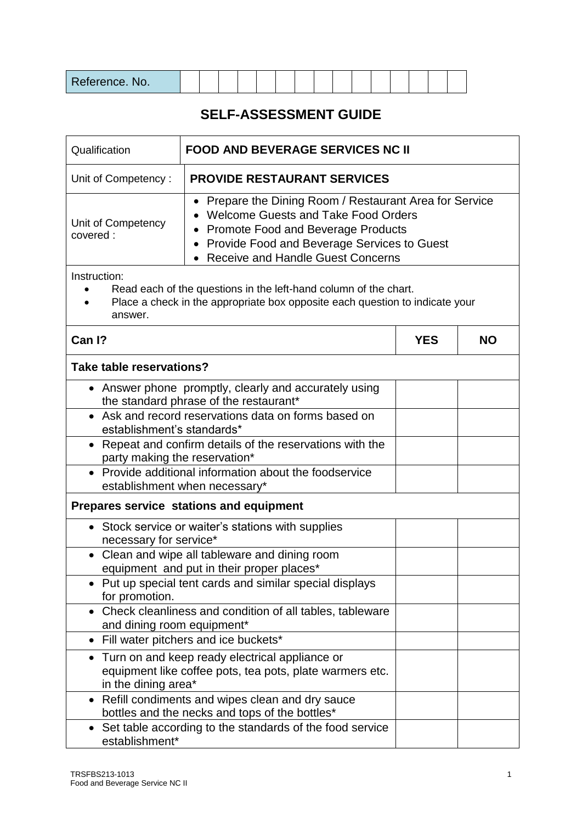| Reference. No. |  |  |  |  |  |  |  |  |  |  |  |  |  |  |  |  |
|----------------|--|--|--|--|--|--|--|--|--|--|--|--|--|--|--|--|
|----------------|--|--|--|--|--|--|--|--|--|--|--|--|--|--|--|--|

## **SELF-ASSESSMENT GUIDE**

| Qualification<br><b>FOOD AND BEVERAGE SERVICES NC II</b>                                                                                                                                                                                                                                                |                                                                                                                                                  |            |           |  |  |
|---------------------------------------------------------------------------------------------------------------------------------------------------------------------------------------------------------------------------------------------------------------------------------------------------------|--------------------------------------------------------------------------------------------------------------------------------------------------|------------|-----------|--|--|
| Unit of Competency:                                                                                                                                                                                                                                                                                     | <b>PROVIDE RESTAURANT SERVICES</b>                                                                                                               |            |           |  |  |
| Prepare the Dining Room / Restaurant Area for Service<br>$\bullet$<br><b>Welcome Guests and Take Food Orders</b><br>Unit of Competency<br><b>Promote Food and Beverage Products</b><br>covered:<br>Provide Food and Beverage Services to Guest<br>$\bullet$<br><b>Receive and Handle Guest Concerns</b> |                                                                                                                                                  |            |           |  |  |
| Instruction:<br>answer.                                                                                                                                                                                                                                                                                 | Read each of the questions in the left-hand column of the chart.<br>Place a check in the appropriate box opposite each question to indicate your |            |           |  |  |
| Can I?                                                                                                                                                                                                                                                                                                  |                                                                                                                                                  | <b>YES</b> | <b>NO</b> |  |  |
| Take table reservations?                                                                                                                                                                                                                                                                                |                                                                                                                                                  |            |           |  |  |
|                                                                                                                                                                                                                                                                                                         | • Answer phone promptly, clearly and accurately using<br>the standard phrase of the restaurant*                                                  |            |           |  |  |
| establishment's standards*                                                                                                                                                                                                                                                                              | • Ask and record reservations data on forms based on                                                                                             |            |           |  |  |
| • Repeat and confirm details of the reservations with the<br>party making the reservation*                                                                                                                                                                                                              |                                                                                                                                                  |            |           |  |  |
|                                                                                                                                                                                                                                                                                                         | • Provide additional information about the foodservice<br>establishment when necessary*                                                          |            |           |  |  |
|                                                                                                                                                                                                                                                                                                         | Prepares service stations and equipment                                                                                                          |            |           |  |  |
| necessary for service*                                                                                                                                                                                                                                                                                  | • Stock service or waiter's stations with supplies                                                                                               |            |           |  |  |
|                                                                                                                                                                                                                                                                                                         | • Clean and wipe all tableware and dining room<br>equipment and put in their proper places*                                                      |            |           |  |  |
| for promotion.                                                                                                                                                                                                                                                                                          | Put up special tent cards and similar special displays                                                                                           |            |           |  |  |
| and dining room equipment*                                                                                                                                                                                                                                                                              | Check cleanliness and condition of all tables, tableware                                                                                         |            |           |  |  |
| $\bullet$                                                                                                                                                                                                                                                                                               | Fill water pitchers and ice buckets*                                                                                                             |            |           |  |  |
| ٠<br>in the dining area*                                                                                                                                                                                                                                                                                | Turn on and keep ready electrical appliance or<br>equipment like coffee pots, tea pots, plate warmers etc.                                       |            |           |  |  |
| ٠                                                                                                                                                                                                                                                                                                       | Refill condiments and wipes clean and dry sauce<br>bottles and the necks and tops of the bottles*                                                |            |           |  |  |
| $\bullet$<br>establishment*                                                                                                                                                                                                                                                                             | Set table according to the standards of the food service                                                                                         |            |           |  |  |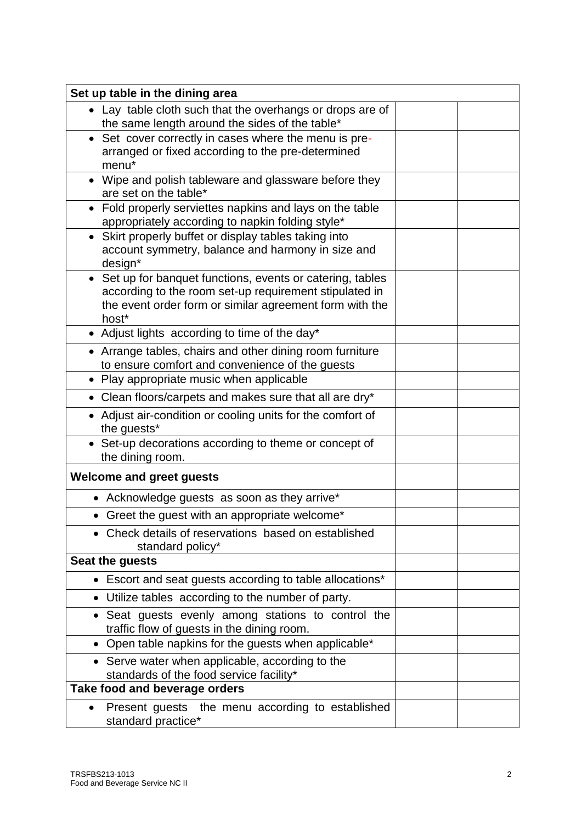| Set up table in the dining area                                                                                                                                                          |  |
|------------------------------------------------------------------------------------------------------------------------------------------------------------------------------------------|--|
| • Lay table cloth such that the overhangs or drops are of<br>the same length around the sides of the table*                                                                              |  |
| • Set cover correctly in cases where the menu is pre-<br>arranged or fixed according to the pre-determined<br>menu <sup>*</sup>                                                          |  |
| • Wipe and polish tableware and glassware before they<br>are set on the table*                                                                                                           |  |
| Fold properly serviettes napkins and lays on the table<br>$\bullet$<br>appropriately according to napkin folding style*                                                                  |  |
| Skirt properly buffet or display tables taking into<br>$\bullet$<br>account symmetry, balance and harmony in size and<br>design*                                                         |  |
| • Set up for banquet functions, events or catering, tables<br>according to the room set-up requirement stipulated in<br>the event order form or similar agreement form with the<br>host* |  |
| • Adjust lights according to time of the day*                                                                                                                                            |  |
| • Arrange tables, chairs and other dining room furniture<br>to ensure comfort and convenience of the guests                                                                              |  |
| • Play appropriate music when applicable                                                                                                                                                 |  |
| • Clean floors/carpets and makes sure that all are dry*                                                                                                                                  |  |
| • Adjust air-condition or cooling units for the comfort of<br>the guests*                                                                                                                |  |
| • Set-up decorations according to theme or concept of<br>the dining room.                                                                                                                |  |
| <b>Welcome and greet guests</b>                                                                                                                                                          |  |
| • Acknowledge guests as soon as they arrive*                                                                                                                                             |  |
| • Greet the guest with an appropriate welcome*                                                                                                                                           |  |
| • Check details of reservations based on established<br>standard policy*                                                                                                                 |  |
| Seat the guests                                                                                                                                                                          |  |
| • Escort and seat guests according to table allocations*                                                                                                                                 |  |
| • Utilize tables according to the number of party.                                                                                                                                       |  |
| • Seat guests evenly among stations to control the<br>traffic flow of guests in the dining room.                                                                                         |  |
| • Open table napkins for the guests when applicable*                                                                                                                                     |  |
| • Serve water when applicable, according to the<br>standards of the food service facility*                                                                                               |  |
| Take food and beverage orders                                                                                                                                                            |  |
| Present guests the menu according to established<br>$\bullet$<br>standard practice*                                                                                                      |  |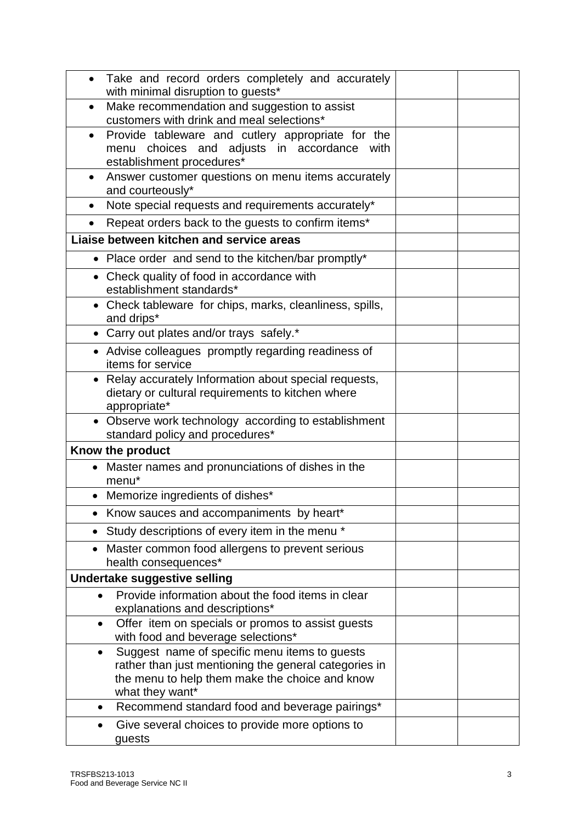| Take and record orders completely and accurately                                                                                                                                         |  |
|------------------------------------------------------------------------------------------------------------------------------------------------------------------------------------------|--|
| with minimal disruption to guests*                                                                                                                                                       |  |
| Make recommendation and suggestion to assist<br>$\bullet$<br>customers with drink and meal selections*                                                                                   |  |
| Provide tableware and cutlery appropriate for the                                                                                                                                        |  |
| menu choices and adjusts in accordance<br>with                                                                                                                                           |  |
| establishment procedures*                                                                                                                                                                |  |
| Answer customer questions on menu items accurately<br>and courteously*                                                                                                                   |  |
| Note special requests and requirements accurately*                                                                                                                                       |  |
| Repeat orders back to the guests to confirm items*                                                                                                                                       |  |
| Liaise between kitchen and service areas                                                                                                                                                 |  |
| • Place order and send to the kitchen/bar promptly*                                                                                                                                      |  |
| • Check quality of food in accordance with<br>establishment standards*                                                                                                                   |  |
| • Check tableware for chips, marks, cleanliness, spills,<br>and drips*                                                                                                                   |  |
| • Carry out plates and/or trays safely.*                                                                                                                                                 |  |
| • Advise colleagues promptly regarding readiness of<br>items for service                                                                                                                 |  |
| • Relay accurately Information about special requests,<br>dietary or cultural requirements to kitchen where<br>appropriate*                                                              |  |
| • Observe work technology according to establishment<br>standard policy and procedures*                                                                                                  |  |
| Know the product                                                                                                                                                                         |  |
| • Master names and pronunciations of dishes in the<br>menu*                                                                                                                              |  |
| Memorize ingredients of dishes*<br>$\bullet$                                                                                                                                             |  |
| Know sauces and accompaniments by heart*                                                                                                                                                 |  |
| Study descriptions of every item in the menu *                                                                                                                                           |  |
| Master common food allergens to prevent serious<br>$\bullet$<br>health consequences*                                                                                                     |  |
| Undertake suggestive selling                                                                                                                                                             |  |
| Provide information about the food items in clear<br>$\bullet$<br>explanations and descriptions*                                                                                         |  |
| Offer item on specials or promos to assist guests<br>$\bullet$<br>with food and beverage selections*                                                                                     |  |
| Suggest name of specific menu items to guests<br>$\bullet$<br>rather than just mentioning the general categories in<br>the menu to help them make the choice and know<br>what they want* |  |
| Recommend standard food and beverage pairings*<br>٠                                                                                                                                      |  |
| Give several choices to provide more options to<br>$\bullet$<br>guests                                                                                                                   |  |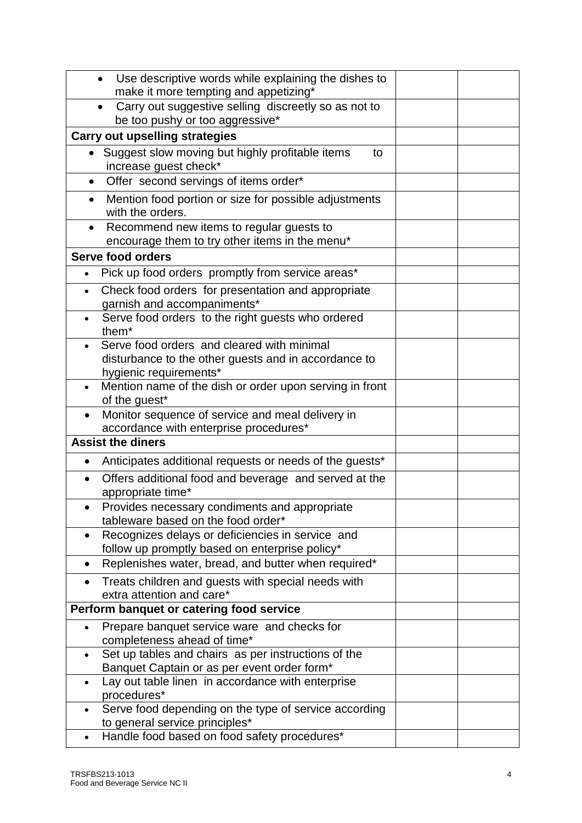|           | Use descriptive words while explaining the dishes to                                       |  |
|-----------|--------------------------------------------------------------------------------------------|--|
|           | make it more tempting and appetizing*                                                      |  |
|           | Carry out suggestive selling discreetly so as not to                                       |  |
|           | be too pushy or too aggressive*                                                            |  |
|           | <b>Carry out upselling strategies</b>                                                      |  |
|           | Suggest slow moving but highly profitable items<br>to                                      |  |
|           | increase guest check*                                                                      |  |
| $\bullet$ | Offer second servings of items order*                                                      |  |
| $\bullet$ | Mention food portion or size for possible adjustments                                      |  |
|           | with the orders.                                                                           |  |
| $\bullet$ | Recommend new items to regular guests to                                                   |  |
|           | encourage them to try other items in the menu*                                             |  |
|           | Serve food orders                                                                          |  |
|           | Pick up food orders promptly from service areas*                                           |  |
|           | Check food orders for presentation and appropriate                                         |  |
|           | garnish and accompaniments*                                                                |  |
|           | Serve food orders to the right guests who ordered                                          |  |
|           | them <sup>*</sup>                                                                          |  |
|           | Serve food orders and cleared with minimal                                                 |  |
|           | disturbance to the other guests and in accordance to                                       |  |
|           | hygienic requirements*                                                                     |  |
|           | Mention name of the dish or order upon serving in front                                    |  |
|           | of the guest*                                                                              |  |
|           | Monitor sequence of service and meal delivery in<br>accordance with enterprise procedures* |  |
|           | <b>Assist the diners</b>                                                                   |  |
|           |                                                                                            |  |
| ٠         | Anticipates additional requests or needs of the guests*                                    |  |
|           | Offers additional food and beverage and served at the<br>appropriate time*                 |  |
|           | Provides necessary condiments and appropriate                                              |  |
|           | tableware based on the food order*                                                         |  |
|           | Recognizes delays or deficiencies in service and                                           |  |
|           | follow up promptly based on enterprise policy*                                             |  |
|           | Replenishes water, bread, and butter when required*                                        |  |
|           | Treats children and guests with special needs with                                         |  |
|           | extra attention and care*                                                                  |  |
|           | Perform banquet or catering food service                                                   |  |
|           | Prepare banquet service ware and checks for                                                |  |
|           | completeness ahead of time*                                                                |  |
|           | Set up tables and chairs as per instructions of the                                        |  |
|           | Banquet Captain or as per event order form*                                                |  |
|           | Lay out table linen in accordance with enterprise                                          |  |
|           | procedures*                                                                                |  |
|           | Serve food depending on the type of service according                                      |  |
|           | to general service principles*                                                             |  |
|           | Handle food based on food safety procedures*                                               |  |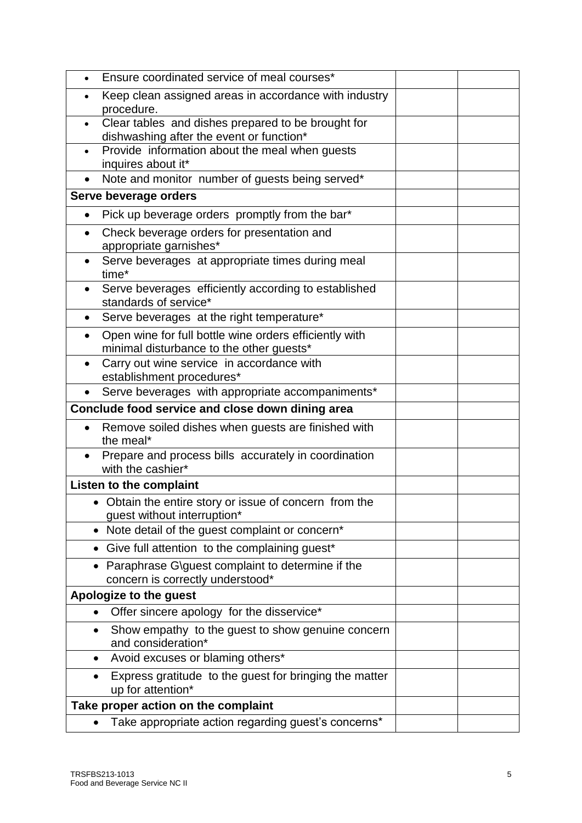| Ensure coordinated service of meal courses*<br>$\bullet$                                                    |  |
|-------------------------------------------------------------------------------------------------------------|--|
| Keep clean assigned areas in accordance with industry<br>procedure.                                         |  |
| Clear tables and dishes prepared to be brought for<br>$\bullet$<br>dishwashing after the event or function* |  |
| Provide information about the meal when guests<br>inquires about it*                                        |  |
| Note and monitor number of guests being served*                                                             |  |
| Serve beverage orders                                                                                       |  |
| Pick up beverage orders promptly from the bar*<br>$\bullet$                                                 |  |
| Check beverage orders for presentation and<br>appropriate garnishes*                                        |  |
| Serve beverages at appropriate times during meal<br>٠<br>time*                                              |  |
| Serve beverages efficiently according to established<br>$\bullet$<br>standards of service*                  |  |
| Serve beverages at the right temperature*                                                                   |  |
| Open wine for full bottle wine orders efficiently with<br>minimal disturbance to the other guests*          |  |
| Carry out wine service in accordance with<br>establishment procedures*                                      |  |
| Serve beverages with appropriate accompaniments*                                                            |  |
| Conclude food service and close down dining area                                                            |  |
| Remove soiled dishes when guests are finished with<br>the meal*                                             |  |
| Prepare and process bills accurately in coordination                                                        |  |
| with the cashier*                                                                                           |  |
| <b>Listen to the complaint</b>                                                                              |  |
| • Obtain the entire story or issue of concern from the<br>guest without interruption*                       |  |
| Note detail of the guest complaint or concern*                                                              |  |
| Give full attention to the complaining guest*                                                               |  |
| Paraphrase G\guest complaint to determine if the<br>concern is correctly understood*                        |  |
| Apologize to the guest                                                                                      |  |
| Offer sincere apology for the disservice*                                                                   |  |
| Show empathy to the guest to show genuine concern<br>$\bullet$<br>and consideration*                        |  |
| Avoid excuses or blaming others*<br>$\bullet$                                                               |  |
| Express gratitude to the guest for bringing the matter<br>$\bullet$<br>up for attention*                    |  |
| Take proper action on the complaint                                                                         |  |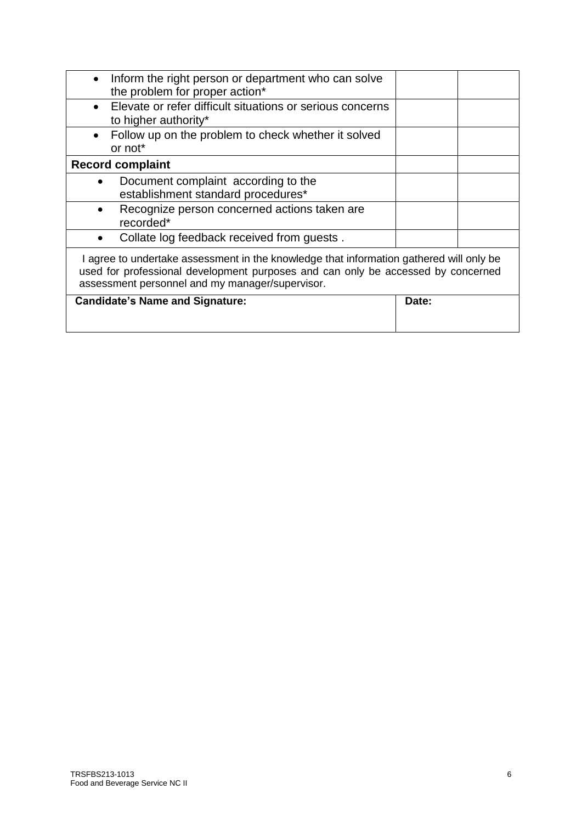| Inform the right person or department who can solve<br>the problem for proper action*                                                                                                                                          |       |  |
|--------------------------------------------------------------------------------------------------------------------------------------------------------------------------------------------------------------------------------|-------|--|
| Elevate or refer difficult situations or serious concerns<br>$\bullet$<br>to higher authority*                                                                                                                                 |       |  |
| Follow up on the problem to check whether it solved<br>$\bullet$<br>or not*                                                                                                                                                    |       |  |
| <b>Record complaint</b>                                                                                                                                                                                                        |       |  |
| Document complaint according to the<br>establishment standard procedures*                                                                                                                                                      |       |  |
| Recognize person concerned actions taken are<br>recorded*                                                                                                                                                                      |       |  |
| Collate log feedback received from quests.                                                                                                                                                                                     |       |  |
| I agree to undertake assessment in the knowledge that information gathered will only be<br>used for professional development purposes and can only be accessed by concerned<br>assessment personnel and my manager/supervisor. |       |  |
| <b>Candidate's Name and Signature:</b>                                                                                                                                                                                         | Date: |  |
|                                                                                                                                                                                                                                |       |  |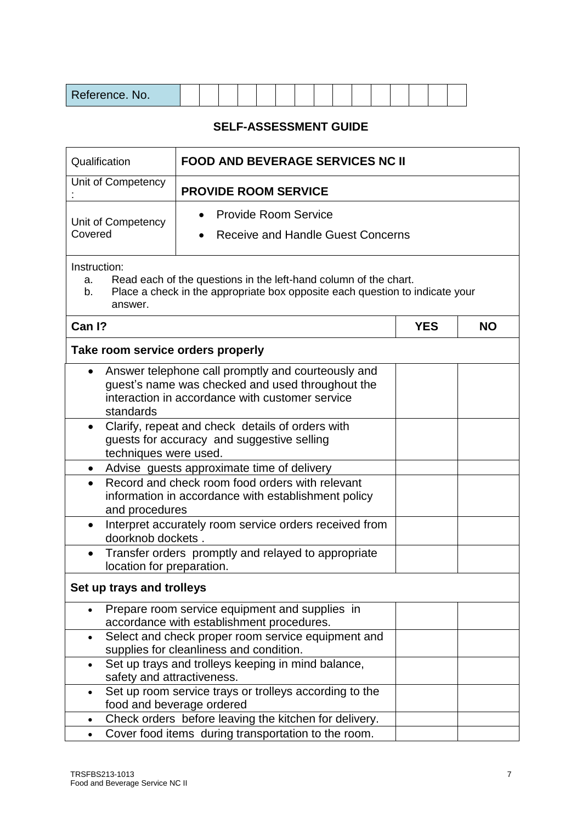| D<br>$T = 2000$<br>Reference. No. |  |  |  |  |  |  |  |  |  |  |  |  |  |  |  |
|-----------------------------------|--|--|--|--|--|--|--|--|--|--|--|--|--|--|--|
|-----------------------------------|--|--|--|--|--|--|--|--|--|--|--|--|--|--|--|

## **SELF-ASSESSMENT GUIDE**

| <b>FOOD AND BEVERAGE SERVICES NC II</b><br>Qualification |                                                                                                                                                           |            |           |  |
|----------------------------------------------------------|-----------------------------------------------------------------------------------------------------------------------------------------------------------|------------|-----------|--|
| Unit of Competency                                       | <b>PROVIDE ROOM SERVICE</b>                                                                                                                               |            |           |  |
| Unit of Competency                                       | <b>Provide Room Service</b>                                                                                                                               |            |           |  |
| Covered                                                  | <b>Receive and Handle Guest Concerns</b>                                                                                                                  |            |           |  |
| Instruction:<br>a.<br>b.<br>answer.                      | Read each of the questions in the left-hand column of the chart.<br>Place a check in the appropriate box opposite each question to indicate your          |            |           |  |
| Can I?                                                   |                                                                                                                                                           | <b>YES</b> | <b>NO</b> |  |
| Take room service orders properly                        |                                                                                                                                                           |            |           |  |
| $\bullet$<br>standards                                   | Answer telephone call promptly and courteously and<br>guest's name was checked and used throughout the<br>interaction in accordance with customer service |            |           |  |
| $\bullet$<br>techniques were used.                       | Clarify, repeat and check details of orders with<br>guests for accuracy and suggestive selling                                                            |            |           |  |
| $\bullet$                                                | Advise guests approximate time of delivery                                                                                                                |            |           |  |
| $\bullet$<br>and procedures                              | Record and check room food orders with relevant<br>information in accordance with establishment policy                                                    |            |           |  |
| $\bullet$<br>doorknob dockets.                           | Interpret accurately room service orders received from                                                                                                    |            |           |  |
| $\bullet$<br>location for preparation.                   | Transfer orders promptly and relayed to appropriate                                                                                                       |            |           |  |
| Set up trays and trolleys                                |                                                                                                                                                           |            |           |  |
| $\bullet$                                                | Prepare room service equipment and supplies in<br>accordance with establishment procedures.                                                               |            |           |  |
| $\bullet$                                                | Select and check proper room service equipment and<br>supplies for cleanliness and condition.                                                             |            |           |  |
| $\bullet$                                                | Set up trays and trolleys keeping in mind balance,<br>safety and attractiveness.                                                                          |            |           |  |
| $\bullet$                                                | Set up room service trays or trolleys according to the<br>food and beverage ordered                                                                       |            |           |  |
| $\bullet$                                                | Check orders before leaving the kitchen for delivery.                                                                                                     |            |           |  |
| $\bullet$                                                | Cover food items during transportation to the room.                                                                                                       |            |           |  |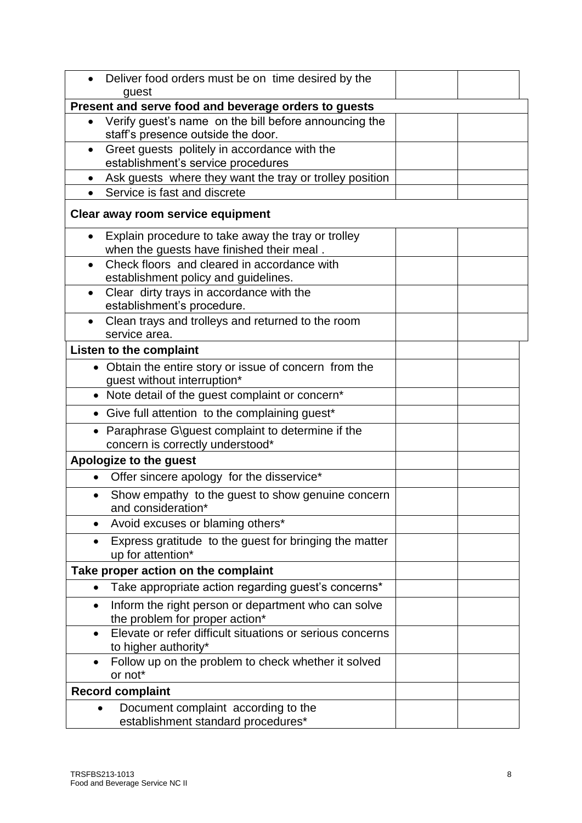|           | Deliver food orders must be on time desired by the                                      |  |
|-----------|-----------------------------------------------------------------------------------------|--|
|           | guest                                                                                   |  |
|           | Present and serve food and beverage orders to guests                                    |  |
| $\bullet$ | Verify guest's name on the bill before announcing the                                   |  |
|           | staff's presence outside the door.                                                      |  |
| $\bullet$ | Greet guests politely in accordance with the                                            |  |
|           | establishment's service procedures                                                      |  |
| $\bullet$ | Ask guests where they want the tray or trolley position<br>Service is fast and discrete |  |
|           | Clear away room service equipment                                                       |  |
|           |                                                                                         |  |
| $\bullet$ | Explain procedure to take away the tray or trolley                                      |  |
|           | when the guests have finished their meal.                                               |  |
|           | Check floors and cleared in accordance with                                             |  |
|           | establishment policy and guidelines.<br>Clear dirty trays in accordance with the        |  |
|           | establishment's procedure.                                                              |  |
|           | Clean trays and trolleys and returned to the room                                       |  |
|           | service area.                                                                           |  |
|           | <b>Listen to the complaint</b>                                                          |  |
|           | • Obtain the entire story or issue of concern from the                                  |  |
|           | guest without interruption*                                                             |  |
|           | • Note detail of the guest complaint or concern*                                        |  |
|           | • Give full attention to the complaining guest*                                         |  |
|           | • Paraphrase G\guest complaint to determine if the<br>concern is correctly understood*  |  |
|           | Apologize to the guest                                                                  |  |
| $\bullet$ | Offer sincere apology for the disservice*                                               |  |
|           | Show empathy to the guest to show genuine concern<br>and consideration*                 |  |
| $\bullet$ | Avoid excuses or blaming others*                                                        |  |
| $\bullet$ | Express gratitude to the guest for bringing the matter                                  |  |
|           | up for attention*                                                                       |  |
|           | Take proper action on the complaint                                                     |  |
| $\bullet$ | Take appropriate action regarding guest's concerns*                                     |  |
| $\bullet$ | Inform the right person or department who can solve<br>the problem for proper action*   |  |
|           | Elevate or refer difficult situations or serious concerns<br>to higher authority*       |  |
|           | Follow up on the problem to check whether it solved<br>or not*                          |  |
|           | <b>Record complaint</b>                                                                 |  |
|           | Document complaint according to the<br>establishment standard procedures*               |  |
|           |                                                                                         |  |